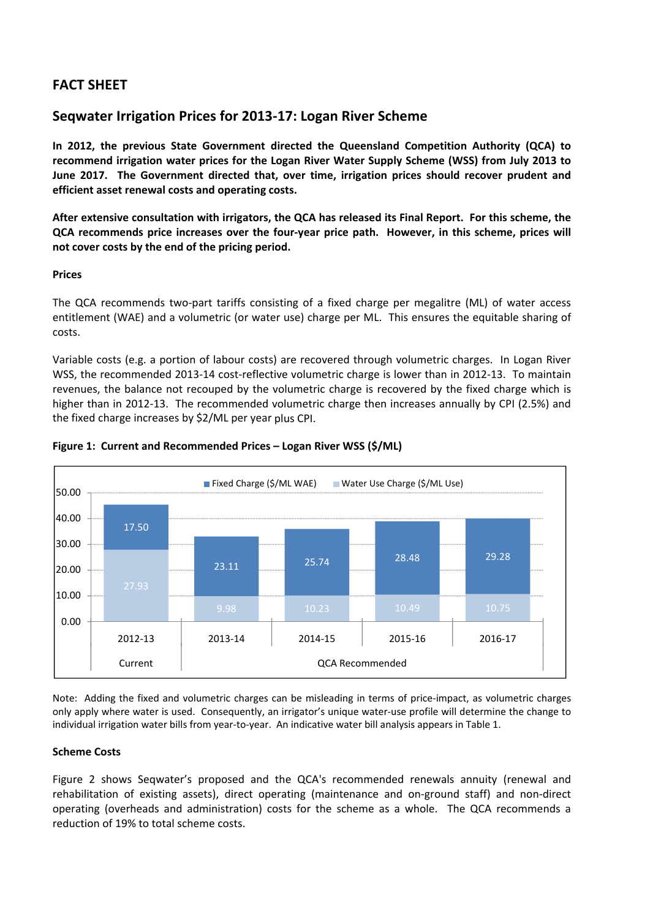# **FACT SHEET**

## **Seqwater Irrigation Prices for 2013‐17: Logan River Scheme**

**In 2012, the previous State Government directed the Queensland Competition Authority (QCA) to recommend irrigation water prices for the Logan River Water Supply Scheme (WSS) from July 2013 to June 2017. The Government directed that, over time, irrigation prices should recover prudent and efficient asset renewal costs and operating costs.**

After extensive consultation with irrigators, the QCA has released its Final Report. For this scheme, the QCA recommends price increases over the four-year price path. However, in this scheme, prices will **not cover costs by the end of the pricing period.**

## **Prices**

The QCA recommends two-part tariffs consisting of a fixed charge per megalitre (ML) of water access entitlement (WAE) and a volumetric (or water use) charge per ML. This ensures the equitable sharing of costs.

Variable costs (e.g. a portion of labour costs) are recovered through volumetric charges. In Logan River WSS, the recommended 2013-14 cost-reflective volumetric charge is lower than in 2012-13. To maintain revenues, the balance not recouped by the volumetric charge is recovered by the fixed charge which is higher than in 2012-13. The recommended volumetric charge then increases annually by CPI (2.5%) and the fixed charge increases by \$2/ML per year plus CPI.



## **Figure 1: Current and Recommended Prices – Logan River WSS (\$/ML)**

Note: Adding the fixed and volumetric charges can be misleading in terms of price‐impact, as volumetric charges only apply where water is used. Consequently, an irrigator's unique water‐use profile will determine the change to individual irrigation water bills from year-to-year. An indicative water bill analysis appears in Table 1.

### **Scheme Costs**

Figure 2 shows Seqwater's proposed and the QCA's recommended renewals annuity (renewal and rehabilitation of existing assets), direct operating (maintenance and on-ground staff) and non-direct operating (overheads and administration) costs for the scheme as a whole. The QCA recommends a reduction of 19% to total scheme costs.